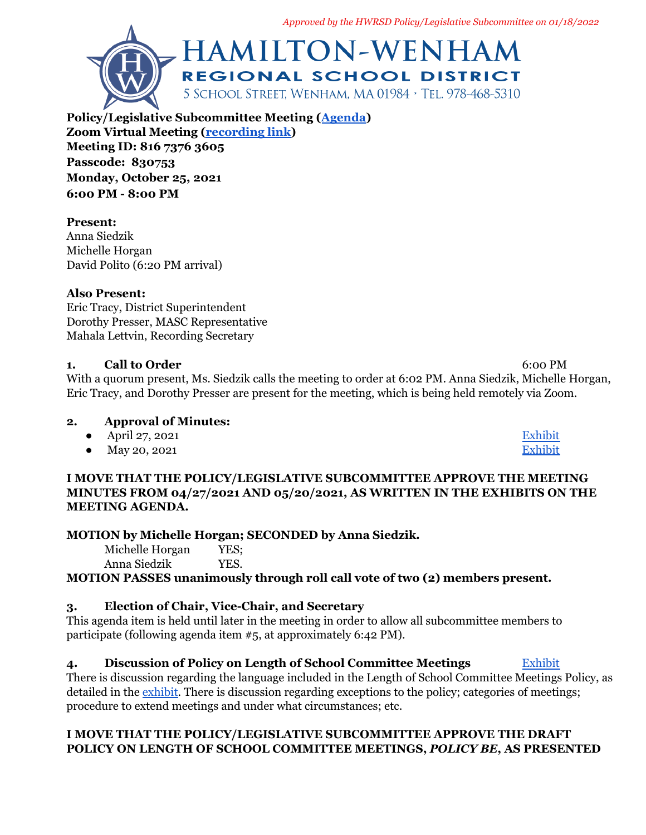*Approved by the HWRSD Policy/Legislative Subcommittee on 01/18/2022*



**Policy/Legislative Subcommittee Meeting ([Agenda](https://docs.google.com/document/d/11xOyhjV-g71bDAYKZ2gnhL_slmGv3vH_nGtquPCEkbA/edit)) Zoom Virtual Meeting ([recording link\)](https://us06web.zoom.us/rec/play/hJlCcWQIRsp1-p5GWm6dyR_na0u3HCwzwx2uT8HHosvQBR-Om3NFHOadieLUwsA0NJ-iBhHGMQwTvM7z.S3sg8Sfx0-sVXAEj?startTime=1635199144000) Meeting ID: 816 7376 3605 Passcode: 830753 Monday, October 25, 2021 6:00 PM - 8:00 PM**

# **Present:**

Anna Siedzik Michelle Horgan David Polito (6:20 PM arrival)

# **Also Present:**

Eric Tracy, District Superintendent Dorothy Presser, MASC Representative Mahala Lettvin, Recording Secretary

# **1. Call to Order** 6:00 PM

With a quorum present, Ms. Siedzik calls the meeting to order at 6:02 PM. Anna Siedzik, Michelle Horgan, Eric Tracy, and Dorothy Presser are present for the meeting, which is being held remotely via Zoom.

# **2. Approval of Minutes:**

- April 27, 2021 [Exhibit](https://hwschoolsnet-my.sharepoint.com/:b:/g/personal/a_siedzik_hwschools_net/ERgG04e8qLtCvRsinUEqsS4BF14HQClHEk6Ho9J-BAxM9A?e=uR6eZH)
- May 20, 2021 [Exhibit](https://hwschoolsnet-my.sharepoint.com/:b:/g/personal/a_siedzik_hwschools_net/EakdPk5twF5ArknTBoMiRqcBEo5z0a9sneBxHG_4rJ-JNA?e=5zd74a)

## **I MOVE THAT THE POLICY/LEGISLATIVE SUBCOMMITTEE APPROVE THE MEETING MINUTES FROM 04/27/2021 AND 05/20/2021, AS WRITTEN IN THE EXHIBITS ON THE MEETING AGENDA.**

# **MOTION by Michelle Horgan; SECONDED by Anna Siedzik.**

Michelle Horgan YES; Anna Siedzik YES.

**MOTION PASSES unanimously through roll call vote of two (2) members present.**

# **3. Election of Chair, Vice-Chair, and Secretary**

This agenda item is held until later in the meeting in order to allow all subcommittee members to participate (following agenda item #5, at approximately 6:42 PM).

# **4. Discussion of Policy on Length of School Committee Meetings** [Exhibit](https://drive.google.com/file/d/1pLZqLUbeyQi1fefMWOY5LU2lQjeBTHef/view?usp=sharing)

There is discussion regarding the language included in the Length of School Committee Meetings Policy, as detailed in the [exhibit.](https://drive.google.com/file/d/1pLZqLUbeyQi1fefMWOY5LU2lQjeBTHef/view?usp=sharing) There is discussion regarding exceptions to the policy; categories of meetings; procedure to extend meetings and under what circumstances; etc.

# **I MOVE THAT THE POLICY/LEGISLATIVE SUBCOMMITTEE APPROVE THE DRAFT POLICY ON LENGTH OF SCHOOL COMMITTEE MEETINGS,** *POLICY BE***, AS PRESENTED**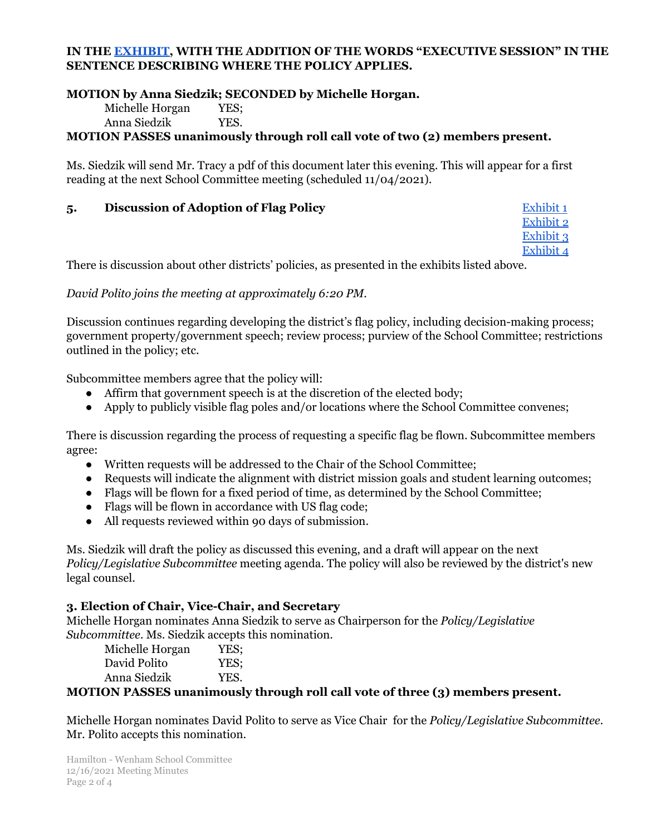#### **IN THE [EXHIBIT,](https://drive.google.com/file/d/1pLZqLUbeyQi1fefMWOY5LU2lQjeBTHef/view?usp=sharing) WITH THE ADDITION OF THE WORDS "EXECUTIVE SESSION" IN THE SENTENCE DESCRIBING WHERE THE POLICY APPLIES.**

#### **MOTION by Anna Siedzik; SECONDED by Michelle Horgan.**

Michelle Horgan YES;

Anna Siedzik YES.

## **MOTION PASSES unanimously through roll call vote of two (2) members present.**

Ms. Siedzik will send Mr. Tracy a pdf of this document later this evening. This will appear for a first reading at the next School Committee meeting (scheduled 11/04/2021).

## **5. Discussion of Adoption of Flag Policy** [Exhibit](https://drive.google.com/file/d/1r77O-AdHhZPvccNww22DOMZnaOOXAe8Q/view?usp=sharing) 1

[Exhibit](https://drive.google.com/file/d/10YaCFttS4h5MbO2O6lzS3grpw0t7GPwZ/view?usp=sharing) 2 [Exhibit](https://drive.google.com/file/d/1vWVqPYnLzYT1N_m-1i49wD8uPSaUEPL8/view?usp=sharing) 3 [Exhibit](https://drive.google.com/file/d/1igY6JTxhQAta9vDr7jGNiAteahnvCi0K/view?usp=sharing) 4

There is discussion about other districts' policies, as presented in the exhibits listed above.

*David Polito joins the meeting at approximately 6:20 PM.*

Discussion continues regarding developing the district's flag policy, including decision-making process; government property/government speech; review process; purview of the School Committee; restrictions outlined in the policy; etc.

Subcommittee members agree that the policy will:

- Affirm that government speech is at the discretion of the elected body;
- Apply to publicly visible flag poles and/or locations where the School Committee convenes;

There is discussion regarding the process of requesting a specific flag be flown. Subcommittee members agree:

- Written requests will be addressed to the Chair of the School Committee;
- Requests will indicate the alignment with district mission goals and student learning outcomes;
- Flags will be flown for a fixed period of time, as determined by the School Committee;
- Flags will be flown in accordance with US flag code;
- All requests reviewed within 90 days of submission.

Ms. Siedzik will draft the policy as discussed this evening, and a draft will appear on the next *Policy/Legislative Subcommittee* meeting agenda. The policy will also be reviewed by the district's new legal counsel.

#### **3. Election of Chair, Vice-Chair, and Secretary**

Michelle Horgan nominates Anna Siedzik to serve as Chairperson for the *Policy/Legislative Subcommittee.* Ms. Siedzik accepts this nomination.

| Michelle Horgan | YES: |
|-----------------|------|
| David Polito    | YES: |
| Anna Siedzik    | YES. |

## **MOTION PASSES unanimously through roll call vote of three (3) members present.**

Michelle Horgan nominates David Polito to serve as Vice Chair for the *Policy/Legislative Subcommittee.* Mr. Polito accepts this nomination.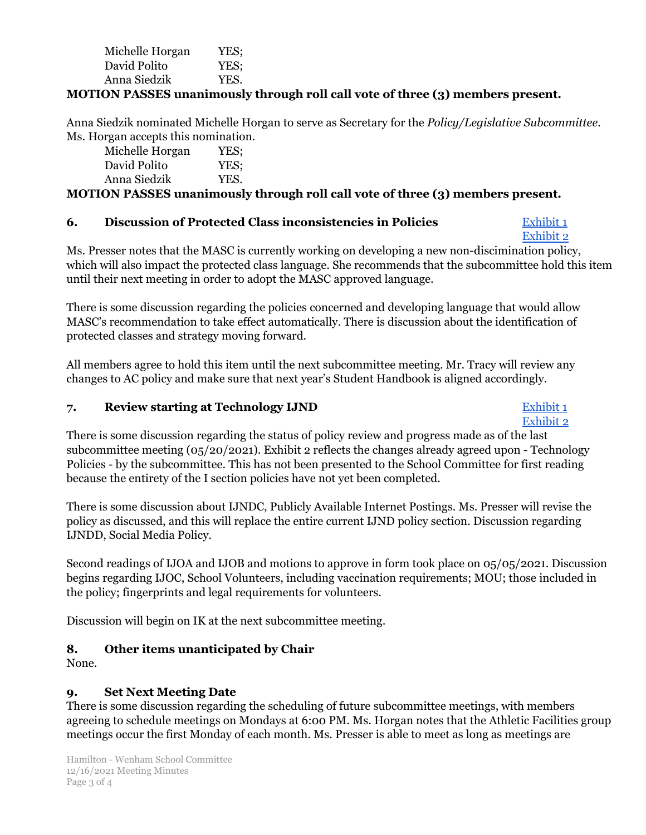| Michelle Horgan | YES: |
|-----------------|------|
| David Polito    | YES: |
| Anna Siedzik    | YES. |

## **MOTION PASSES unanimously through roll call vote of three (3) members present.**

Anna Siedzik nominated Michelle Horgan to serve as Secretary for the *Policy/Legislative Subcommittee*. Ms. Horgan accepts this nomination.

| Michelle Horgan | YES; |
|-----------------|------|
| David Polito    | YES; |
| Anna Siedzik    | YES. |

## **MOTION PASSES unanimously through roll call vote of three (3) members present.**

#### **6. Discussion of Protected Class inconsistencies in Policies** [Exhibit](https://drive.google.com/file/d/17yEVbjFjcPTBnrPzSwUioO6pdJOYNU3t/view?usp=sharing) 1

[Exhibit](https://drive.google.com/file/d/18jP3IO8YhnKxL4GZ6ZrmPOLuo9m1MOsH/view?usp=sharing) 2

Ms. Presser notes that the MASC is currently working on developing a new non-discimination policy, which will also impact the protected class language. She recommends that the subcommittee hold this item until their next meeting in order to adopt the MASC approved language.

There is some discussion regarding the policies concerned and developing language that would allow MASC's recommendation to take effect automatically. There is discussion about the identification of protected classes and strategy moving forward.

All members agree to hold this item until the next subcommittee meeting. Mr. Tracy will review any changes to AC policy and make sure that next year's Student Handbook is aligned accordingly.

#### **7. Review starting at Technology IJND** [Exhibit](https://drive.google.com/file/d/1TLtXmcQ1FTtx5CD3g3_AgtakeBDmmIHu/view?usp=sharing) 1

[Exhibit](https://drive.google.com/file/d/1JJZiET4XKCVsVRulE_LzKsMcd-q-sMNw/view?usp=sharing) 2 There is some discussion regarding the status of policy review and progress made as of the last subcommittee meeting (05/20/2021). Exhibit 2 reflects the changes already agreed upon - Technology Policies - by the subcommittee. This has not been presented to the School Committee for first reading because the entirety of the I section policies have not yet been completed.

There is some discussion about IJNDC, Publicly Available Internet Postings. Ms. Presser will revise the policy as discussed, and this will replace the entire current IJND policy section. Discussion regarding IJNDD, Social Media Policy.

Second readings of IJOA and IJOB and motions to approve in form took place on 05/05/2021. Discussion begins regarding IJOC, School Volunteers, including vaccination requirements; MOU; those included in the policy; fingerprints and legal requirements for volunteers.

Discussion will begin on IK at the next subcommittee meeting.

# **8. Other items unanticipated by Chair**

None.

## **9. Set Next Meeting Date**

There is some discussion regarding the scheduling of future subcommittee meetings, with members agreeing to schedule meetings on Mondays at 6:00 PM. Ms. Horgan notes that the Athletic Facilities group meetings occur the first Monday of each month. Ms. Presser is able to meet as long as meetings are